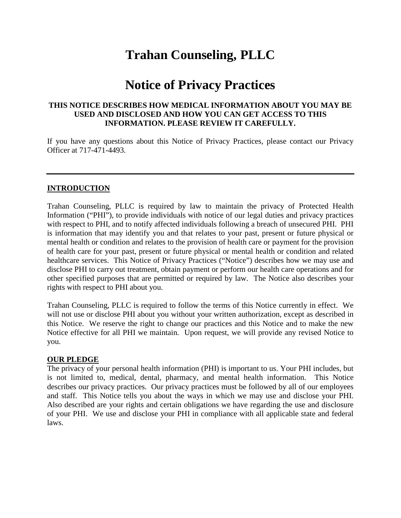# **Trahan Counseling, PLLC**

# **Notice of Privacy Practices**

### **THIS NOTICE DESCRIBES HOW MEDICAL INFORMATION ABOUT YOU MAY BE USED AND DISCLOSED AND HOW YOU CAN GET ACCESS TO THIS INFORMATION. PLEASE REVIEW IT CAREFULLY.**

If you have any questions about this Notice of Privacy Practices, please contact our Privacy Officer at 717-471-4493.

### **INTRODUCTION**

Trahan Counseling, PLLC is required by law to maintain the privacy of Protected Health Information ("PHI"), to provide individuals with notice of our legal duties and privacy practices with respect to PHI, and to notify affected individuals following a breach of unsecured PHI. PHI is information that may identify you and that relates to your past, present or future physical or mental health or condition and relates to the provision of health care or payment for the provision of health care for your past, present or future physical or mental health or condition and related healthcare services. This Notice of Privacy Practices ("Notice") describes how we may use and disclose PHI to carry out treatment, obtain payment or perform our health care operations and for other specified purposes that are permitted or required by law. The Notice also describes your rights with respect to PHI about you.

Trahan Counseling, PLLC is required to follow the terms of this Notice currently in effect. We will not use or disclose PHI about you without your written authorization, except as described in this Notice. We reserve the right to change our practices and this Notice and to make the new Notice effective for all PHI we maintain. Upon request, we will provide any revised Notice to you.

#### **OUR PLEDGE**

The privacy of your personal health information (PHI) is important to us. Your PHI includes, but is not limited to, medical, dental, pharmacy, and mental health information. This Notice describes our privacy practices. Our privacy practices must be followed by all of our employees and staff. This Notice tells you about the ways in which we may use and disclose your PHI. Also described are your rights and certain obligations we have regarding the use and disclosure of your PHI. We use and disclose your PHI in compliance with all applicable state and federal laws.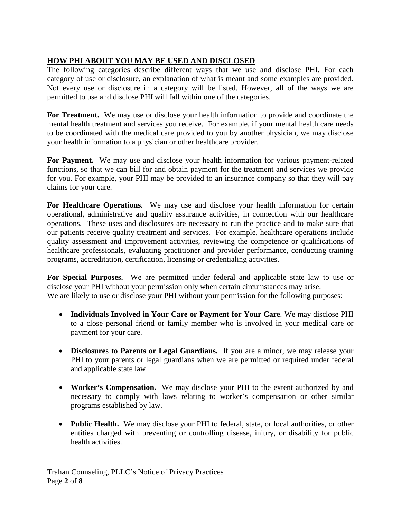# **HOW PHI ABOUT YOU MAY BE USED AND DISCLOSED**

The following categories describe different ways that we use and disclose PHI. For each category of use or disclosure, an explanation of what is meant and some examples are provided. Not every use or disclosure in a category will be listed. However, all of the ways we are permitted to use and disclose PHI will fall within one of the categories.

**For Treatment.** We may use or disclose your health information to provide and coordinate the mental health treatment and services you receive. For example, if your mental health care needs to be coordinated with the medical care provided to you by another physician, we may disclose your health information to a physician or other healthcare provider.

**For Payment.** We may use and disclose your health information for various payment-related functions, so that we can bill for and obtain payment for the treatment and services we provide for you. For example, your PHI may be provided to an insurance company so that they will pay claims for your care.

For **Healthcare Operations.** We may use and disclose your health information for certain operational, administrative and quality assurance activities, in connection with our healthcare operations. These uses and disclosures are necessary to run the practice and to make sure that our patients receive quality treatment and services. For example, healthcare operations include quality assessment and improvement activities, reviewing the competence or qualifications of healthcare professionals, evaluating practitioner and provider performance, conducting training programs, accreditation, certification, licensing or credentialing activities.

**For Special Purposes.** We are permitted under federal and applicable state law to use or disclose your PHI without your permission only when certain circumstances may arise. We are likely to use or disclose your PHI without your permission for the following purposes:

- **Individuals Involved in Your Care or Payment for Your Care**. We may disclose PHI to a close personal friend or family member who is involved in your medical care or payment for your care.
- **Disclosures to Parents or Legal Guardians.** If you are a minor, we may release your PHI to your parents or legal guardians when we are permitted or required under federal and applicable state law.
- **Worker's Compensation.** We may disclose your PHI to the extent authorized by and necessary to comply with laws relating to worker's compensation or other similar programs established by law.
- **Public Health.** We may disclose your PHI to federal, state, or local authorities, or other entities charged with preventing or controlling disease, injury, or disability for public health activities.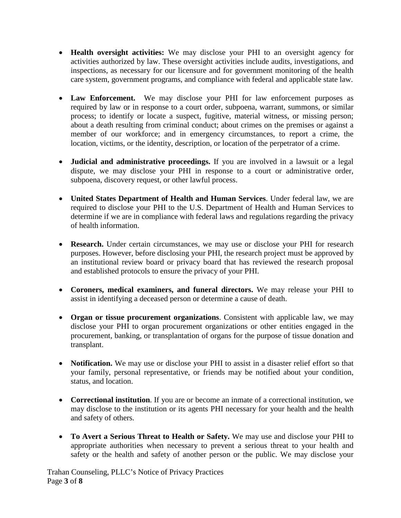- **Health oversight activities:** We may disclose your PHI to an oversight agency for activities authorized by law. These oversight activities include audits, investigations, and inspections, as necessary for our licensure and for government monitoring of the health care system, government programs, and compliance with federal and applicable state law.
- **Law Enforcement.** We may disclose your PHI for law enforcement purposes as required by law or in response to a court order, subpoena, warrant, summons, or similar process; to identify or locate a suspect, fugitive, material witness, or missing person; about a death resulting from criminal conduct; about crimes on the premises or against a member of our workforce; and in emergency circumstances, to report a crime, the location, victims, or the identity, description, or location of the perpetrator of a crime.
- **Judicial and administrative proceedings.** If you are involved in a lawsuit or a legal dispute, we may disclose your PHI in response to a court or administrative order, subpoena, discovery request, or other lawful process.
- **United States Department of Health and Human Services**. Under federal law, we are required to disclose your PHI to the U.S. Department of Health and Human Services to determine if we are in compliance with federal laws and regulations regarding the privacy of health information.
- **Research.** Under certain circumstances, we may use or disclose your PHI for research purposes. However, before disclosing your PHI, the research project must be approved by an institutional review board or privacy board that has reviewed the research proposal and established protocols to ensure the privacy of your PHI.
- **Coroners, medical examiners, and funeral directors.** We may release your PHI to assist in identifying a deceased person or determine a cause of death.
- **Organ or tissue procurement organizations**. Consistent with applicable law, we may disclose your PHI to organ procurement organizations or other entities engaged in the procurement, banking, or transplantation of organs for the purpose of tissue donation and transplant.
- **Notification.** We may use or disclose your PHI to assist in a disaster relief effort so that your family, personal representative, or friends may be notified about your condition, status, and location.
- **Correctional institution**. If you are or become an inmate of a correctional institution, we may disclose to the institution or its agents PHI necessary for your health and the health and safety of others.
- **To Avert a Serious Threat to Health or Safety.** We may use and disclose your PHI to appropriate authorities when necessary to prevent a serious threat to your health and safety or the health and safety of another person or the public. We may disclose your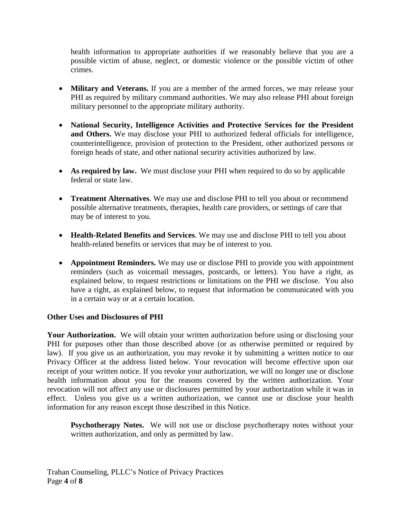health information to appropriate authorities if we reasonably believe that you are a possible victim of abuse, neglect, or domestic violence or the possible victim of other crimes.

- **Military and Veterans.** If you are a member of the armed forces, we may release your PHI as required by military command authorities. We may also release PHI about foreign military personnel to the appropriate military authority.
- **National Security, Intelligence Activities and Protective Services for the President and Others.** We may disclose your PHI to authorized federal officials for intelligence, counterintelligence, provision of protection to the President, other authorized persons or foreign heads of state, and other national security activities authorized by law.
- As required by law. We must disclose your PHI when required to do so by applicable federal or state law.
- **Treatment Alternatives**. We may use and disclose PHI to tell you about or recommend possible alternative treatments, therapies, health care providers, or settings of care that may be of interest to you.
- **Health-Related Benefits and Services**. We may use and disclose PHI to tell you about health-related benefits or services that may be of interest to you.
- **Appointment Reminders.** We may use or disclose PHI to provide you with appointment reminders (such as voicemail messages, postcards, or letters). You have a right, as explained below, to request restrictions or limitations on the PHI we disclose. You also have a right, as explained below, to request that information be communicated with you in a certain way or at a certain location.

## **Other Uses and Disclosures of PHI**

Your Authorization. We will obtain your written authorization before using or disclosing your PHI for purposes other than those described above (or as otherwise permitted or required by law). If you give us an authorization, you may revoke it by submitting a written notice to our Privacy Officer at the address listed below. Your revocation will become effective upon our receipt of your written notice. If you revoke your authorization, we will no longer use or disclose health information about you for the reasons covered by the written authorization. Your revocation will not affect any use or disclosures permitted by your authorization while it was in effect. Unless you give us a written authorization, we cannot use or disclose your health information for any reason except those described in this Notice.

**Psychotherapy Notes.** We will not use or disclose psychotherapy notes without your written authorization, and only as permitted by law.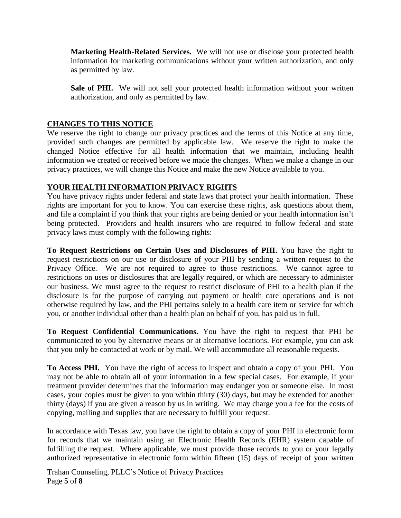**Marketing Health-Related Services.** We will not use or disclose your protected health information for marketing communications without your written authorization, and only as permitted by law.

Sale of PHI. We will not sell your protected health information without your written authorization, and only as permitted by law.

### **CHANGES TO THIS NOTICE**

We reserve the right to change our privacy practices and the terms of this Notice at any time, provided such changes are permitted by applicable law. We reserve the right to make the changed Notice effective for all health information that we maintain, including health information we created or received before we made the changes. When we make a change in our privacy practices, we will change this Notice and make the new Notice available to you.

#### **YOUR HEALTH INFORMATION PRIVACY RIGHTS**

You have privacy rights under federal and state laws that protect your health information. These rights are important for you to know. You can exercise these rights, ask questions about them, and file a complaint if you think that your rights are being denied or your health information isn't being protected. Providers and health insurers who are required to follow federal and state privacy laws must comply with the following rights:

**To Request Restrictions on Certain Uses and Disclosures of PHI.** You have the right to request restrictions on our use or disclosure of your PHI by sending a written request to the Privacy Office. We are not required to agree to those restrictions. We cannot agree to restrictions on uses or disclosures that are legally required, or which are necessary to administer our business. We must agree to the request to restrict disclosure of PHI to a health plan if the disclosure is for the purpose of carrying out payment or health care operations and is not otherwise required by law, and the PHI pertains solely to a health care item or service for which you, or another individual other than a health plan on behalf of you, has paid us in full.

**To Request Confidential Communications.** You have the right to request that PHI be communicated to you by alternative means or at alternative locations. For example, you can ask that you only be contacted at work or by mail. We will accommodate all reasonable requests.

**To Access PHI.** You have the right of access to inspect and obtain a copy of your PHI. You may not be able to obtain all of your information in a few special cases. For example, if your treatment provider determines that the information may endanger you or someone else. In most cases, your copies must be given to you within thirty (30) days, but may be extended for another thirty (days) if you are given a reason by us in writing. We may charge you a fee for the costs of copying, mailing and supplies that are necessary to fulfill your request.

In accordance with Texas law, you have the right to obtain a copy of your PHI in electronic form for records that we maintain using an Electronic Health Records (EHR) system capable of fulfilling the request. Where applicable, we must provide those records to you or your legally authorized representative in electronic form within fifteen (15) days of receipt of your written

Trahan Counseling, PLLC's Notice of Privacy Practices Page **5** of **8**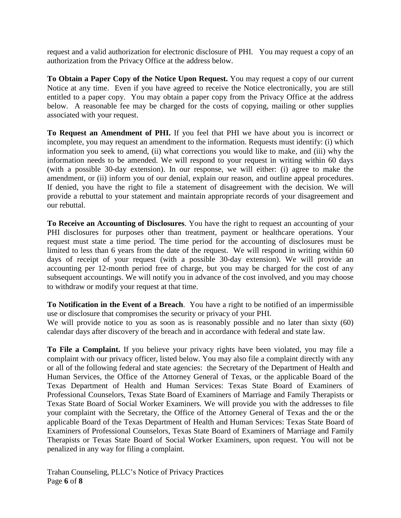request and a valid authorization for electronic disclosure of PHI. You may request a copy of an authorization from the Privacy Office at the address below.

**To Obtain a Paper Copy of the Notice Upon Request.** You may request a copy of our current Notice at any time. Even if you have agreed to receive the Notice electronically, you are still entitled to a paper copy. You may obtain a paper copy from the Privacy Office at the address below. A reasonable fee may be charged for the costs of copying, mailing or other supplies associated with your request.

**To Request an Amendment of PHI.** If you feel that PHI we have about you is incorrect or incomplete, you may request an amendment to the information. Requests must identify: (i) which information you seek to amend, (ii) what corrections you would like to make, and (iii) why the information needs to be amended. We will respond to your request in writing within 60 days (with a possible 30-day extension). In our response, we will either: (i) agree to make the amendment, or (ii) inform you of our denial, explain our reason, and outline appeal procedures. If denied, you have the right to file a statement of disagreement with the decision. We will provide a rebuttal to your statement and maintain appropriate records of your disagreement and our rebuttal.

**To Receive an Accounting of Disclosures**. You have the right to request an accounting of your PHI disclosures for purposes other than treatment, payment or healthcare operations. Your request must state a time period. The time period for the accounting of disclosures must be limited to less than 6 years from the date of the request. We will respond in writing within 60 days of receipt of your request (with a possible 30-day extension). We will provide an accounting per 12-month period free of charge, but you may be charged for the cost of any subsequent accountings. We will notify you in advance of the cost involved, and you may choose to withdraw or modify your request at that time.

**To Notification in the Event of a Breach**. You have a right to be notified of an impermissible use or disclosure that compromises the security or privacy of your PHI.

We will provide notice to you as soon as is reasonably possible and no later than sixty (60) calendar days after discovery of the breach and in accordance with federal and state law.

**To File a Complaint.** If you believe your privacy rights have been violated, you may file a complaint with our privacy officer, listed below. You may also file a complaint directly with any or all of the following federal and state agencies: the Secretary of the Department of Health and Human Services, the Office of the Attorney General of Texas, or the applicable Board of the Texas Department of Health and Human Services: Texas State Board of Examiners of Professional Counselors, Texas State Board of Examiners of Marriage and Family Therapists or Texas State Board of Social Worker Examiners. We will provide you with the addresses to file your complaint with the Secretary, the Office of the Attorney General of Texas and the or the applicable Board of the Texas Department of Health and Human Services: Texas State Board of Examiners of Professional Counselors, Texas State Board of Examiners of Marriage and Family Therapists or Texas State Board of Social Worker Examiners, upon request. You will not be penalized in any way for filing a complaint.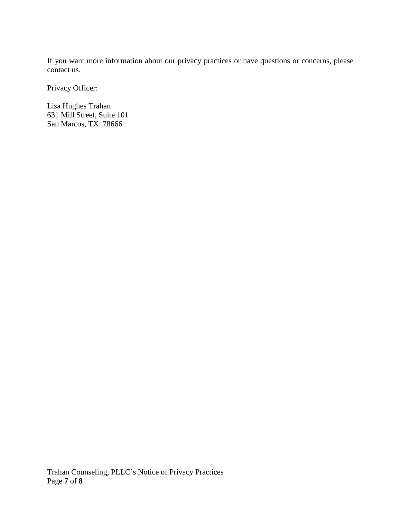If you want more information about our privacy practices or have questions or concerns, please contact us.

Privacy Officer:

Lisa Hughes Trahan 631 Mill Street, Suite 101 San Marcos, TX 78666